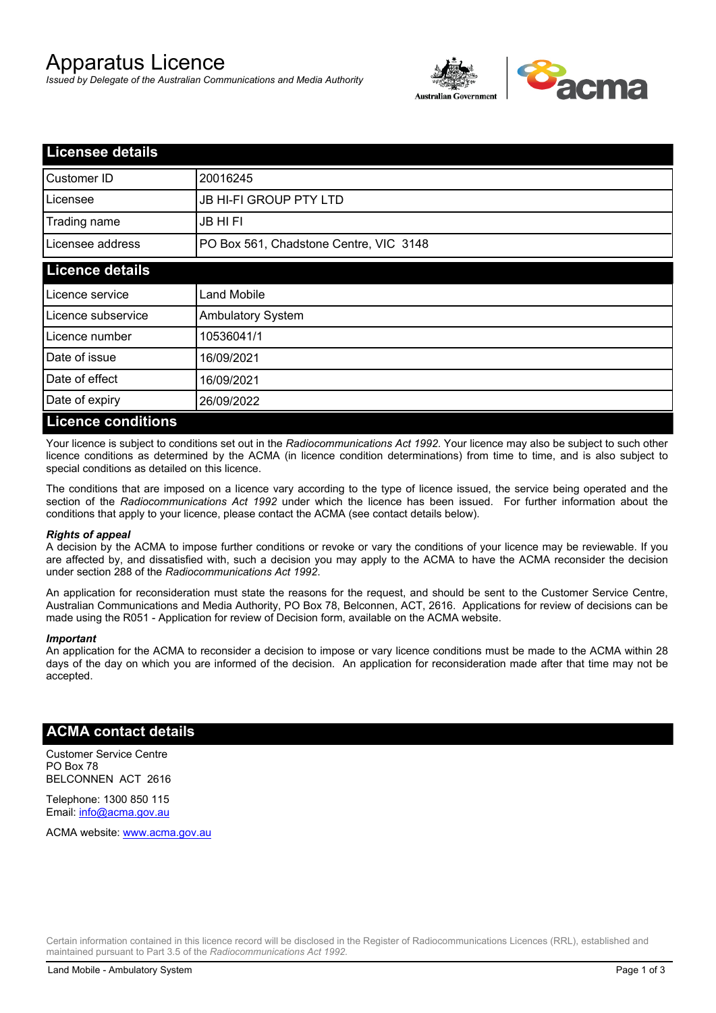# Apparatus Licence

*Issued by Delegate of the Australian Communications and Media Authority*



| <b>Licensee details</b>   |                                        |  |
|---------------------------|----------------------------------------|--|
| Customer ID               | 20016245                               |  |
| Licensee                  | <b>JB HI-FI GROUP PTY LTD</b>          |  |
| Trading name              | <b>JB HIFI</b>                         |  |
| Licensee address          | PO Box 561, Chadstone Centre, VIC 3148 |  |
| <b>Licence details</b>    |                                        |  |
| Licence service           | <b>Land Mobile</b>                     |  |
| Licence subservice        | <b>Ambulatory System</b>               |  |
| Licence number            | 10536041/1                             |  |
| Date of issue             | 16/09/2021                             |  |
| Date of effect            | 16/09/2021                             |  |
| Date of expiry            | 26/09/2022                             |  |
| <b>Licence conditions</b> |                                        |  |

Your licence is subject to conditions set out in the *Radiocommunications Act 1992*. Your licence may also be subject to such other licence conditions as determined by the ACMA (in licence condition determinations) from time to time, and is also subject to special conditions as detailed on this licence.

The conditions that are imposed on a licence vary according to the type of licence issued, the service being operated and the section of the *Radiocommunications Act 1992* under which the licence has been issued. For further information about the conditions that apply to your licence, please contact the ACMA (see contact details below).

#### *Rights of appeal*

A decision by the ACMA to impose further conditions or revoke or vary the conditions of your licence may be reviewable. If you are affected by, and dissatisfied with, such a decision you may apply to the ACMA to have the ACMA reconsider the decision under section 288 of the *Radiocommunications Act 1992*.

An application for reconsideration must state the reasons for the request, and should be sent to the Customer Service Centre, Australian Communications and Media Authority, PO Box 78, Belconnen, ACT, 2616. Applications for review of decisions can be made using the R051 - Application for review of Decision form, available on the ACMA website.

#### *Important*

An application for the ACMA to reconsider a decision to impose or vary licence conditions must be made to the ACMA within 28 days of the day on which you are informed of the decision. An application for reconsideration made after that time may not be accepted.

#### **ACMA contact details**

Customer Service Centre PO Box 78 BELCONNEN ACT 2616

Telephone: 1300 850 115 Email: info@acma.gov.au

ACMA website: www.acma.gov.au

Certain information contained in this licence record will be disclosed in the Register of Radiocommunications Licences (RRL), established and maintained pursuant to Part 3.5 of the *Radiocommunications Act 1992.*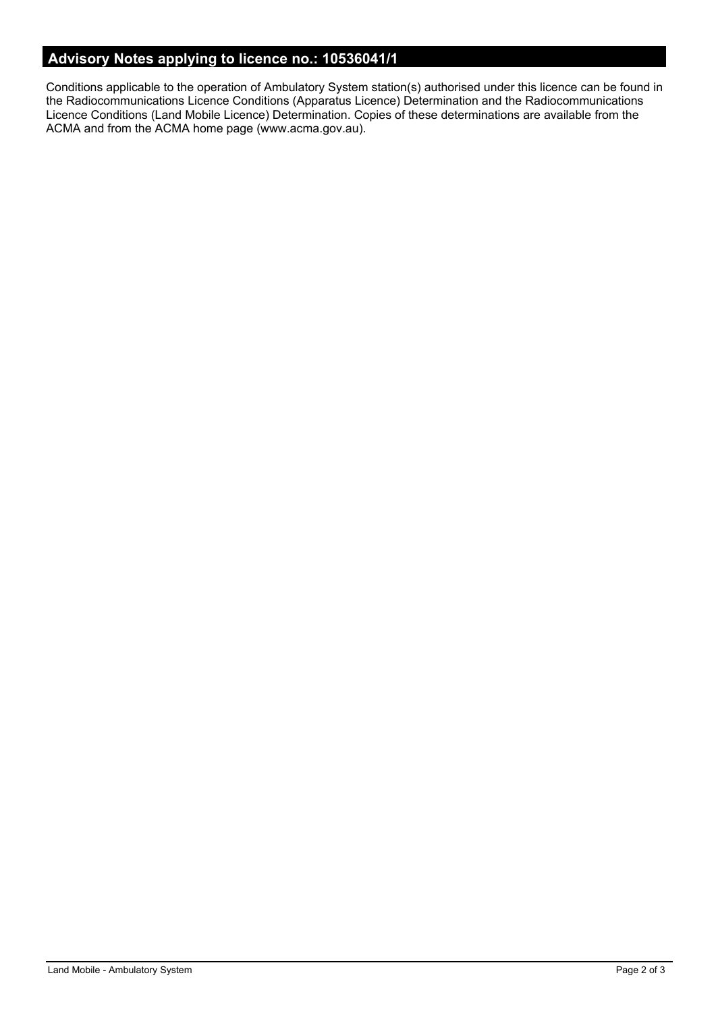# **Advisory Notes applying to licence no.: 10536041/1**

Conditions applicable to the operation of Ambulatory System station(s) authorised under this licence can be found in the Radiocommunications Licence Conditions (Apparatus Licence) Determination and the Radiocommunications Licence Conditions (Land Mobile Licence) Determination. Copies of these determinations are available from the ACMA and from the ACMA home page (www.acma.gov.au).